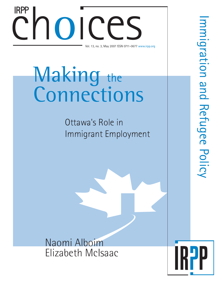# Choices Nay 2007 ISSN 0711-0677 ww Vol. 13, no. 3, May 2007 ISSN 0711-0677 www.irpp.org IRPP

# Making the Connections

Ottawa's Role in Immigrant Employment

Naomi Alboim Elizabeth McIsaac

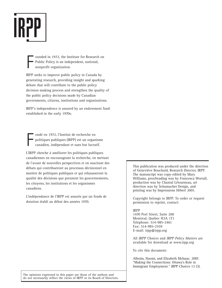

F ounded in 1972, the Institute for Research on Public Policy is an independent, national, nonprofit organization.

IRPP seeks to improve public policy in Canada by generating research, providing insight and sparking debate that will contribute to the public policy decision-making process and strengthen the quality of the public policy decisions made by Canadian governments, citizens, institutions and organizations.

IRPP's independence is assured by an endowment fund established in the early 1970s.

F ondé en 1972, l'Institut de recherche en politiques publiques (IRPP) est un organisme canadien, indépendant et sans but lucratif.

L'IRPP cherche à améliorer les politiques publiques canadiennes en encourageant la recherche, en mettant de l'avant de nouvelles perspectives et en suscitant des débats qui contribueront au processus décisionnel en matière de politiques publiques et qui rehausseront la qualité des décisions que prennent les gouvernements, les citoyens, les institutions et les organismes canadiens.

L'indépendance de l'IRPP est assurée par un fonds de dotation établi au début des années 1970.

This publication was produced under the direction of Geneviève Bouchard, Research Director, IRPP. The manuscript was copy-edited by Mary Williams, proofreading was by Francesca Worrall, production was by Chantal Létourneau, art direction was by Schumacher Design, and printing was by Impressions Hébert 2001.

Copyright belongs to IRPP. To order or request permission to reprint, contact:

IRPP 1470 Peel Street, Suite 200 Montreal, Quebec H3A 1T1 Telephone: 514-985-2461 Fax: 514-985-2559 E-mail: irpp@irpp.org

All *IRPP Choices* and *IRPP Policy Matters* are available for download at www.irpp.org

To cite this document:

Alboim, Naomi, and Elizabeth McIsaac. 2007. "Making the Connections: Ottawa's Role in Immigrant Employment." *IRPP Choices* 13 (3).

The opinions expressed in this paper are those of the authors and do not necessarily reflect the views of IRPP or its Board of Directors.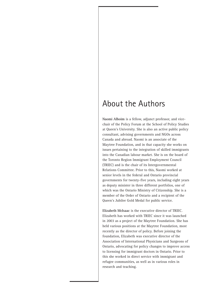# About the Authors

**Naomi Alboim** is a fellow, adjunct professor, and vicechair of the Policy Forum at the School of Policy Studies at Queen's University. She is also an active public policy consultant, advising governments and NGOs across Canada and abroad. Naomi is an associate of the Maytree Foundation, and in that capacity she works on issues pertaining to the integration of skilled immigrants into the Canadian labour market. She is on the board of the Toronto Region Immigrant Employment Council (TRIEC) and is the chair of its Intergovernmental Relations Committee. Prior to this, Naomi worked at senior levels in the federal and Ontario provincial governments for twenty-five years, including eight years as deputy minister in three different portfolios, one of which was the Ontario Ministry of Citizenship. She is a member of the Order of Ontario and a recipient of the Queen's Jubilee Gold Medal for public service.

**Elizabeth McIsaac** is the executive director of TRIEC. Elizabeth has worked with TRIEC since it was launched in 2003 as a project of the Maytree Foundation. She has held various positions at the Maytree Foundation, most recently as the director of policy. Before joining the foundation, Elizabeth was executive director of the Association of International Physicians and Surgeons of Ontario, advocating for policy changes to improve access to licensing for immigrant doctors in Ontario. Prior to this she worked in direct service with immigrant and refugee communities, as well as in various roles in research and teaching.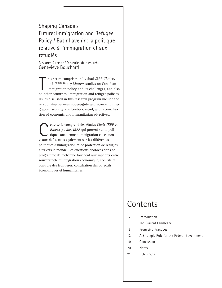# Shaping Canada's Future: Immigration and Refugee Policy / Bâtir l'avenir : la politique relative à l'immigration et aux réfugiés

Research Director / Directrice de recherche Geneviève Bouchard

his series comprises individual *IRPP Choices*<br>and *IRPP Policy Matters* studies on Canadian<br>immigration policy and its challenges, and also<br>on other countries' immigration and refugee policies. his series comprises individual *IRPP Choices* and *IRPP Policy Matters* studies on Canadian immigration policy and its challenges, and also Issues discussed in this research program include the relationship between sovereignty and economic integration, security and border control, and reconciliation of economic and humanitarian objectives.

ette série comprend des études *Choix IRPP* et *Enjeux publics IRPP* qui portent sur la politique canadienne d'immigration et ses nouveaux défis, mais également sur les différentes politiques d'immigration et de protection de réfugiés à travers le monde. Les questions abordées dans ce programme de recherche touchent aux rapports entre souveraineté et intégration économique, sécurité et contrôle des frontières, conciliation des objectifs économiques et humanitaires.

# **Contents**

- 2 Introduction
- 6 The Current Landscape
- 8 Promising Practices
- 13 A Strategic Role for the Federal Government
- 19 Conclusion
- 20 Notes
- 21 References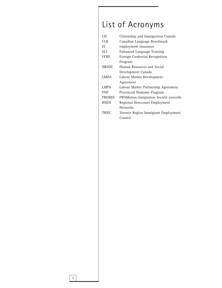# List of Acronyms

| <b>CIC</b>    | Citizenship and Immigration Canada     |
|---------------|----------------------------------------|
| <b>CLB</b>    | Canadian Language Benchmark            |
| EI            | employment insurance                   |
| <b>ELT</b>    | Enhanced Language Training             |
| <b>FCRP</b>   | Foreign Credential Recognition         |
|               | Program                                |
| <b>HRSDC</b>  | Human Resources and Social             |
|               | Development Canada                     |
| <b>LMDA</b>   | Labour Market Development              |
|               | Agreement                              |
| <b>LMPA</b>   | Labour Market Partnership Agreement    |
| <b>PNP</b>    | Provincial Nominee Program             |
| <b>PROMIS</b> | PROMotion-Intégration-Société nouvelle |
| <b>RNEN</b>   | Regional Newcomer Employment           |
|               | <b>Networks</b>                        |
| <b>TRIEC</b>  | Toronto Region Immigrant Employment    |
|               | Council                                |
|               |                                        |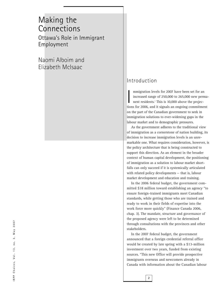# Making the **Connections** Ottawa's Role in Immigrant Employment

Naomi Alboim and Elizabeth McIsaac

## Introduction

mmigration levels for 2007 have been set for an<br>increased range of 250,000 to 265,000 new perma<br>nent residents.<sup>1</sup> This is 10,000 above the projec-<br>tions for 2006, and it signals an ongoing commitment mmigration levels for 2007 have been set for an increased range of 250,000 to 265,000 new permanent residents.<sup>1</sup> This is 10,000 above the projecon the part of the Canadian government to seek in immigration solutions to ever-widening gaps in the labour market and to demographic pressures.

As the government adheres to the traditional view of immigration as a cornerstone of nation building, its decision to increase immigration levels is an unremarkable one. What requires consideration, however, is the policy architecture that is being constructed to support this direction. As an element in the broader context of human capital development, the positioning of immigration as a solution to labour market shortfalls can only succeed if it is systemically articulated with related policy developments — that is, labour market development and education and training.

In the 2006 federal budget, the government committed \$18 million toward establishing an agency "to ensure foreign-trained immigrants meet Canadian standards, while getting those who are trained and ready to work in their fields of expertise into the work force more quickly" (Finance Canada 2006, chap. 3). The mandate, structure and governance of the proposed agency were left to be determined through consultations with the provinces and other stakeholders.

In the 2007 federal budget, the government announced that a foreign credential referral office would be created by late spring with a \$13-million investment over two years, funded from existing sources. "This new Office will provide prospective immigrants overseas and newcomers already in Canada with information about the Canadian labour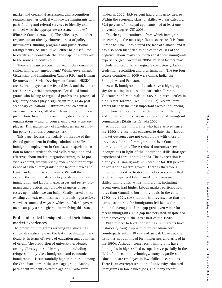market and credential assessment and recognition requirements. As well, it will provide immigrants with path-finding and referral services to identify and connect with the appropriate assessment bodies" (Finance Canada 2007, 24). The office is yet another response to an already cluttered arena of policy instruments, funding programs and jurisdictional arrangements. As such, it will either be a useful tool to clarify and coordinate the landscape or merely add to the noise and confusion.

There are many players involved in the domain of skilled immigrant employment.<sup>2</sup> Within government, Citizenship and Immigration Canada (CIC) and Human Resources and Social Development Canada (HRSDC) are the lead players at the federal level, and then there are their provincial counterparts. For skilled immigrants who belong to regulated professions, provincial regulatory bodies play a significant role, as do postsecondary educational institutions and credential assessment services, all of which are under provincial jurisdiction. In addition, community-based service organizations — and, of course, employers — are key players. This multiplicity of stakeholders makes finding policy solutions a complex task.

This paper focuses particularly on the role of the federal government in finding solutions to skilled immigrant employment in Canada, with special attention to foreign credentials and skills recognition and effective labour market integration strategies. To provide a context, we will briefly review the current experience of skilled immigrants in the labour market and Canadian labour market demands. We will then explore the current federal policy landscape for both immigration and labour market issues and review programs and practices that provide examples of successes upon which we can build. Finally, based on the existing context, relationships and promising practices, we will recommend ways in which the federal government can play a strategic role in resolving this issue.

#### **Profile of skilled immigrants and their labour market experiences**

The profile of immigrants arriving in Canada has shifted dramatically over the last three decades, particularly in terms of levels of education and countries of origin. The proportion of university graduates among all categories of immigrants — including refugees, family-class immigrants and economic immigrants — is substantially higher than that among the Canadian-born in the same age group. Among permanent residents over the age of 15 who were

landed in 2005, 45.9 percent had a university degree. Within the economic class, or skilled-worker category, 79.5 percent of principal applicants had at least one university degree (CIC 2006b).

The change in continents from which immigrants are coming — the most significant source shift is from Europe to Asia — has altered the face of Canada, and it has also been identified as one of the causes of the negative labour market outcomes that these immigrants experience (see Sweetman 2005). Related factors may include reduced official language competency, lack of credential recognition and discrimination. The top four source countries in 2005 were China, India, the Philippines and Pakistan.

As well, immigrants to Canada have a high propensity for settling in cities — in particular, Toronto, Vancouver and Montreal: in 2005, 43 percent settled in the Greater Toronto Area (CIC 2006b). Recent immigrants identify the most important factors influencing their choice of destination as the presence of family and friends and the existence of established immigrant communities (Statistics Canada 2005).

Although the immigrants who have arrived since the 1990s are the most educated to date, their labour market outcomes are not comparable with those of previous cohorts of immigrants or their Canadianborn counterparts. These reduced outcomes seem incongruous in light of the labour and skills shortages experienced throughout Canada. The expectation is that by 2011 immigrants will account for 100 percent of net labour market growth. There is therefore a growing imperative to develop policy responses that facilitate improved labour market performance for skilled immigrants. While immigrants, including recent ones, had higher labour market participation rates than Canadian-born individuals in the early 1980s, by 1991, the situation had reversed so that the participation rate for immigrants fell below the national average, and the gap grew even wider for recent immigrants. This gap has persisted, despite economic recovery in the latter half of the 1990s.

With respect to levels of earnings, immigrants have historically caught up with their Canadian-born counterparts within 10 years of arrival. However, this trend has not continued for immigrants who arrived in the 1990s. Although some recent immigrants have found jobs in high-skilled occupations, especially in the field of information technology, many, regardless of education, are employed in low-skilled occupations. There is an overrepresentation of university-educated immigrants in low-skilled jobs, and many recent

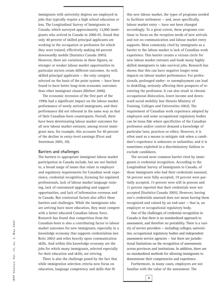immigrants with university degrees are employed in jobs that typically require a high school education or less. The Longitudinal Survey of Immigrants to Canada, which surveyed approximately 12,000 immigrants who arrived in Canada in 2000-01, found that only 40 percent of skilled principal applicants are working in the occupation or profession for which they were trained, effectively making 60 percent downwardly mobile (Statistics Canada 2005). However, there are variations in these figures, as stronger or weaker labour market opportunities in particular sectors create different outcomes. As well, skilled principal applicants — the only category selected on the basis of the point system — have been found to have better long-term economic outcomes than other immigrant classes (Hiebert 2006).

The economic recession of the first part of the 1990s had a significant impact on the labour market performance of newly arrived immigrants, and their performance did not rebound in the same way as that of their Canadian-born counterparts. Overall, there have been deteriorating labour market outcomes for all new labour market entrants; among recent immigrant men, for example, this accounts for 40 percent of the decline in entry-level earnings (Picot and Sweetman 2005, 20).

#### **Barriers and challenges**

The barriers to appropriate immigrant labour market participation in Canada include, but are not limited to, a broad range of issues that relate to employer and regulatory requirements for Canadian work experience, credential recognition, licensing for regulated professionals, lack of labour market language training, lack of customized upgrading and support opportunities, and lack of information overseas and in Canada. But contextual factors also affect these barriers and challenges. While the immigrants who are arriving have more education, they must compete with a better educated Canadian labour force. Research has found that competition from the Canadian-born is also a contributing factor to labour market outcomes for new immigrants, especially in a knowledge economy that supports credentialism (see Reitz 2001) and relies heavily upon communication skills. And within this knowledge economy are the jobs for which many immigrants, selected especially for their education and skills, are striving.

There is also the challenge posed by the fact that while immigration selection criteria now focus on education, language competency and skills that fit

this new labour market, the types of programs needed to facilitate settlement — and, more specifically, labour market entry — have not been changed accordingly. To a great extent, these programs continue to focus on the reception needs of new arrivals and not on communication and labour market entry supports. Most commonly cited by immigrants as a barrier to the labour market is lack of Canadian work experience. This barrier creates a vicious circle for new labour market entrants and leads many highly skilled immigrants to take survival jobs. Research has shown that this can have negative longer-term impacts on labour market performance. For professionals, prolonged under- or unemployment can lead to deskilling, seriously affecting their prospects of reentering the profession. It can also result in chronic occupational dislocation, lower income and downward social mobility (see Ontario Ministry of Training, Colleges and Universities 2002). The requirement of Canadian work experience adopted by employers and some occupational regulatory bodies can be bona fide where specificities of the Canadian profession and/or context demand a knowledge of particular laws, practices or ethics. However, it is often used as a means to mitigate risk when a candidate's experience is unknown or unfamiliar, and it is sometimes exploited in a discriminatory fashion to exclude candidates.

The second most common barrier cited by immigrants is credential recognition. According to the Longitudinal Survey of Immigrants to Canada, of those immigrants who had their credentials assessed, 56 percent were fully accepted, 19 percent were partially accepted, 15 percent were still in process and 11 percent reported that their credentials were not accepted (Statistics Canada 2005). However, having one's credentials assessed does not mean having them recognized and valued by an end-user — that is, an employer or occupational regulatory body.

One of the challenges of credential recognition in Canada is that there is no standardized approach to assessment, and therefore no portability. There is a variety of service providers — including colleges, universities, occupational regulatory bodies and independent assessment service agencies — but there are jurisdictional limitations on the recognition of assessments across provinces and institutions. In addition, there are no standardized methods for allowing immigrants to demonstrate their competencies and experience.

Furthermore, in many cases, employers are not familiar with the value of the assessment. The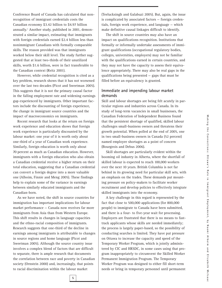Conference Board of Canada has calculated that nonrecognition of immigrant credentials costs the Canadian economy \$3.42 billion to \$4.97 billion annually.3 Another study, published in 2001, demonstrated a similar impact, estimating that immigrants with foreign credentials earned \$2.4 billion less than nonimmigrant Canadians with formally comparable skills. The reason provided was that immigrants worked below their skill level. The study further suggested that at least two-thirds of their unutilized skills, worth \$1.6 billion, were in fact transferable to the Canadian context (Reitz 2001).

However, while credential recognition is cited as a key problem, research shows that it has not worsened over the last two decades (Picot and Sweetman 2005). This suggests that it is not the primary causal factor in the falling employment rate and widening earnings gap experienced by immigrants. Other important factors include the discounting of foreign experience, the change in immigrant source countries and the impact of macroeconomics on immigrants.

Recent research that looks at the return on foreign work experience and education shows that foreign work experience is particularly discounted by the labour market: one year of it is worth only about one-third of a year of Canadian work experience. Similarly, foreign education is worth only about 70 percent as much as Canadian education. However, immigrants with a foreign education who also obtain a Canadian credential receive a higher return on their total education, suggesting that a Canadian credential can convert a foreign degree into a more valuable one (Alboim, Finnie and Meng 2005). These findings help to explain some of the variance in earnings between similarly educated immigrants and the Canadian-born.

As we have noted, the shift in source countries for immigration has important implications for labour market performance — Canada now receives far more immigrants from Asia than from Western Europe. This shift results in changes in language capacities and the ethno-racial composition of immigrants. Research suggests that one-third of the decline in earnings among immigrants is attributable to changes in source regions and home language (Picot and Sweetman 2005). Although the source country issue involves a complex blend of factors that are difficult to separate, there is ample research that documents the correlation between race and poverty in Canadian society (Ornstein 2000) and, increasingly, that points to racial discrimination within the labour market

(Teelucksingh and Galabuzi 2005). But, again, the issue is complicated by associated factors — foreign credentials, foreign work experience, and language — which make definitive causal linkages difficult to identify.

The shift in source countries may also have an impact on qualifications recognition. Institutions that formally or informally undertake assessments of immigrant qualifications (occupational regulatory bodies, colleges, universities, employers) may not be familiar with the qualifications earned in certain countries, and they may not have the capacity to assess their equivalence appropriately. There may also be real gaps in the qualifications being presented — gaps that must be filled before an equivalency is granted.

#### **Immediate and impending labour market demands**

Skill and labour shortages are being felt acutely in particular regions and industries across Canada. In its study of long-term vacancies in small businesses, the Canadian Federation of Independent Business found that the persistent shortage of qualified, skilled labour challenges small-business owners and threatens their growth potential. When polled at the end of 2005, one in two small-business owners in Canada (52 percent) named employee shortages as a point of concern (Bourgeois and Debus 2006).

Skill shortages are particularly evident within the booming oil industry in Alberta, where the shortfall of skilled labour is expected to reach 100,000 workers over the next 10 years. British Columbia is not far behind in its growing need for particular skill sets, with an emphasis on the trades. These demands put mounting pressure on policy-makers to facilitate worker recruitment and develop policies to effectively integrate skilled immigrants into the economy.

A key challenge in this regard is represented by the fact that close to 500,000 applications (for 800,000 people) to immigrate to Canada have been submitted, and there is a four- to five-year wait for processing. Employers are frustrated that there is no means to fasttrack applicants whose skills are needed immediately; the process is largely paper-based, so the possibility of conducting searches is limited. They have put pressure on Ottawa to increase the capacity and speed of the Temporary Worker Program, which is jointly administered by CIC and HRSDC, in some cases using that program inappropriately to circumvent the Skilled Worker Permanent Immigration Program. The Temporary Worker Program was designed to either fill short-term needs or bring in temporary personnel until permanent

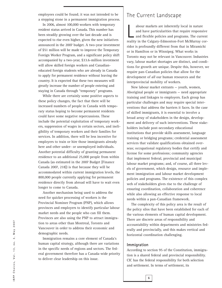employees could be found; it was not intended to be a stepping stone in a permanent immigration process.

In 2006, almost 100,000 workers with temporary resident status arrived in Canada. This number has been steadily growing over the last decade and is expected to rise even higher, given the new initiatives announced in the 2007 budget. A two-year investment of \$51 million will be made to improve the Temporary Foreign Worker Program, and a significant policy shift accompanied by a two-year, \$33.6-million investment will allow skilled foreign workers and Canadianeducated foreign students who are already in Canada to apply for permanent residence without leaving the country. It is expected that these two measures will greatly increase the number of people entering and staying in Canada through "temporary" programs.

While there are certainly some positive aspects to these policy changes, the fact that there will be increased numbers of people in Canada with temporary status hoping to become permanent residents could have some negative repercussions. These include the potential exploitation of temporary workers, suppression of wages in certain sectors, and ineligibility of temporary workers and their families for services. In addition, there will be less incentive for employers to train or hire those immigrants already here and other under- or unemployed individuals. Another potential difficulty of granting permanent residence to an additional 25,000 people from within Canada (as estimated in the 2007 Budget [Finance Canada 2007, 218]) is that because they will be accommodated within current immigration levels, the 800,000 people currently applying for permanent residence directly from abroad will have to wait even longer to come to Canada.

Another mechanism being used to address the need for quicker processing of workers is the Provincial Nominee Program (PNP), which allows provinces and employers to identify particular labour market needs and the people who can fill them. Provinces are also using the PNP to attract immigration to areas other than Montreal, Toronto and Vancouver in order to address their economic and demographic needs.

Immigration remains a core element of Canada's human capital strategy, although there are variations in the specific needs of regions and sectors. The federal government therefore has a Canada-wide priority to deliver clear leadership on this issue.

## The Current Landscape

abour markets are inherently local in nature<br>and have particularities that require responsive<br>and flexible policies and programs. The current<br>reality in the Calgary-Edmonton-Fort McMurray corabour markets are inherently local in nature and have particularities that require responsive and flexible policies and programs. The current ridor is profoundly different from that in Miramichi or in Hamilton or in Winnipeg. What works in Toronto may not be relevant in Vancouver. Industries vary, labour market shortages are distinct, and conditions for growth are unique. Despite this, however, we require pan-Canadian policies that allow for the development of *all* our human resources and the interprovincial mobility of workers.

New labour market entrants — youth, women, Aboriginal people or immigrants — need appropriate training and linkages to employers. Each group has particular challenges and may require special interventions that address the barriers it faces. In the case of skilled immigrants, it is essential to involve a broad array of stakeholders in the design, development and delivery of such interventions. These stakeholders include post-secondary educational institutions that provide skills assessment, language training or bridging programs; credential assessment services that validate qualifications obtained overseas; occupational regulatory bodies that certify and license for some professions; community agencies that implement federal, provincial and municipal labour market programs; and, of course, all three levels of government, which design, resource and implement immigration and labour market development policies and programs. The existence of this complex web of stakeholders gives rise to the challenge of ensuring coordination, collaboration and coherence while also allowing an effective response to local needs within a pan-Canadian framework.

The complexity of this policy area is the result of the policy silos that have been established for each of the various elements of human capital development. There are discrete areas of responsibility and accountability within departments and ministries federally and provincially, and this makes vertical and horizontal coordination challenging.

#### **Immigration**

According to section 95 of the Constitution, immigration is a shared federal and provincial responsibility. CIC has the federal responsibility for both selection and settlement. In terms of settlement, its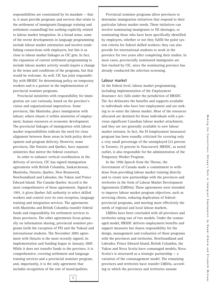responsibilities are constrained by its mandate — that is, it must provide programs and services that relate to the settlement of immigrants (language training and settlement counselling) but nothing explicitly related to labour market integration. In a broad sense, some of the recent developments in language programming include labour market orientation and involve establishing connections with employers, but this is as close to labour market linkages as CIC gets. In fact, the expansion of current settlement programming to include labour market activity would require a change in the terms and conditions of the programs, but that would be welcome. As well, CIC has joint responsibility with HRSDC for determining policy on temporary workers and is a partner in the implementation of provincial nominee programs.

Provincial ministries with responsibility for immigration are cast variously, based on the province's vision and organizational imperatives. Some provinces, like Manitoba, place immigration with labour; others situate it within ministries of employment, human resources or economic development. The provincial linkages of immigration with labour market responsibilities indicate the need for close alignment between these areas in both policy development and program delivery. However, some provinces, like Ontario and Quebec, have separate ministries that mirror the federal construct.

In order to enhance vertical coordination in the delivery of services, CIC has signed immigration agreements with British Columbia, Saskatchewan, Manitoba, Ontario, Quebec, New Brunswick, Newfoundland and Labrador, the Yukon and Prince Edward Island. The Canada-Quebec Accord is the most comprehensive of these agreements. Signed in 1991, it gives Quebec full authority to select skilled workers and control over its own reception, language training and integration services. The agreements with Manitoba and British Columbia transfer federal funds and responsibility for settlement services to those provinces. The other agreements focus primarily on information sharing, provincial nominee programs (with the exception of PEI and the Yukon) and international students. The November 2005 agreement with Ontario is the most recently signed; its implementation and funding began in January 2007. While it does not transfer funds to the province, it is comprehensive, covering settlement and language training services and a provincial nominee program, and, importantly, it is the only agreement that includes recognition of the role of municipalities.

**7**

Provincial nominee programs allow provinces to determine immigration initiatives that respond to their particular labour market needs. These initiatives can involve nominating immigrants to fill shortages, or nominating those who have been specifically identified by employers, whether or not they fulfill the point system criteria for federal skilled workers; they can also provide for international students to work in the province for two years after completing their studies. In most cases, provincially nominated immigrants are fast-tracked by CIC, since the nominating province has already conducted the selection screening.

#### **Labour market**

At the federal level, labour market programming, including implementation of the *Employment Insurance Act*, falls under the jurisdiction of HRSDC. The Act delineates the benefits and supports available to individuals who have lost employment and are seeking to re-enter the labour market. Most of the resources allocated are destined for those individuals with a previous significant Canadian labour market attachment, and they are not generally available to new labour market entrants. In fact, the EI (employment insurance) program has been roundly criticized for covering only a very small percentage of the unemployed (22 percent in Toronto; 25 percent in Vancouver). HRSDC, as noted earlier, is also responsible for the administration of the Temporary Worker Program.

In the 1996 Speech from the Throne, the Government of Canada made a commitment to withdraw from providing labour market training directly and to create new partnerships with the provinces and territories in the form of Labour Market Development Agreements (LMDAs). These agreements were intended to improve labour market program objectives, such as servicing clients, reducing duplication of federalprovincial programs, and meeting more effectively the needs of regional and local labour markets.

LMDAs have been concluded with all provinces and territories using one of two models. Under the comanaged model, HRSDC delivers employment benefits and support measures but shares responsibility for the design, management and evaluation of these programs with the provinces and territories. Newfoundland and Labrador, Prince Edward Island, British Columbia, the Yukon and Nova Scotia have comanaged models; Nova Scotia's is structured as a strategic partnership — a variation of the comanagement model. The remaining provinces and territories have transfer LMDAs, according to which the provinces and territories assume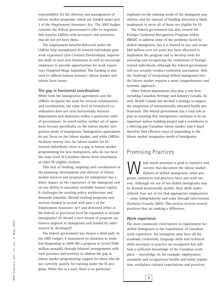responsibility for the delivery and management of labour market programs, which are funded under part 2 of the *Employment Insurance Act*. The 2007 budget contains the federal government's offer to negotiate full-transfer LMDAs with provinces and territories that do not yet have them.

The employment benefits delivered under the LMDAs help unemployed EI-insured individuals gain work experience (Job Creation Partnerships), improve job skills or start new businesses as well as encourage employers to provide opportunities for work experience (Targeted Wage Subsidies). The funding is also used to address human resource, labour market and labour force issues.

#### **The gap in horizontal coordination**

While both the immigration agreements and the LMDAs recognize the need for vertical collaboration and coordination, the same level of formalized coordination does not exist horizontally between departments and ministries within a particular order of government. As noted earlier, neither set of agreement focuses specifically on the labour market integration needs of immigrants. Immigration agreements do not focus on the labour market, and while LMDAs facilitate reentry into the labour market for EIinsured individuals, there is a gap in labour market programming for new immigrants, who do not have the same level of Canadian labour force attachment as other EI-eligible workers.

This lack of funding, targeting and coordination in the planning, development and delivery of labour market services and programs for immigrants has a direct impact on the experience of the immigrant and on our ability to maximize available human capital. It challenges the existing policy architecture and demands remedies. Should existing programs and services funded in accord with part 2 of the *Employment Insurance Act*<sup>4</sup> and delivered either at the federal or provincial level be expanded to include immigrants? Or should a new stream of program initiatives targeted at immigrants and funded by other sources be developed?

The federal government has chosen a third path. In the 2007 budget, it announced its intention to establish (beginning in 2008-09) a program to invest \$500 million annually through bilateral arrangements with each province and territory to address the gap in labour market programming support for those who do not currently qualify for training under the EI program. While this is a start, there is no particular

emphasis on the training needs of the immigrant population, and the amount of funding allocated is likely inadequate to serve all of those not eligible for EI.

The federal government has also created the Foreign Credential Recognition Program within HRSDC to address some of the problems faced by skilled immigrants, but it is limited in size and scope: \$68 million over six years has been allocated to implement the program and to develop tools for assessing and recognizing the credentials of foreigntrained individuals, although the federal government will not actually conduct credential assessment. Still, the challenge of integrating skilled immigrants into the labour market requires a more comprehensive and systemic approach.

Other federal departments also play a role here, including Canadian Heritage and Industry Canada. As well, Health Canada has devised a strategy to support the integration of internationally educated health professionals. The federal government has a vital role to play in ensuring that immigration continues to be an important nation-building project and a contributor to a thriving pan-Canadian labour market, and it must therefore find effective ways of responding to the labour market integration needs of immigrants.

### Promising Practices

W hile much attention is paid to statistics and<br>surveys that document the labour market<br>failures of skilled immigrants, some pro-<br>grams, initiatives and practices have met with sucsurveys that document the labour market failures of skilled immigrants, some programs, initiatives and practices have met with success. Although six out of ten skilled immigrants may be deemed downwardly mobile, their skills underutilized, four out of ten find appropriate employment — some independently and some through intervention (Statistics Canada 2005). This section reviews several practices that are making a difference.

#### **Work experience**

**8**

The most commonly cited barrier to employment for skilled immigrants is the requirement of Canadian work experience. An immigrant may have all the academic credentials, language skills and technical skills necessary to practice an occupation but still lack a sufficient knowledge of the Canadian workplace — knowledge of, for example, employment standards and occupational health and safety legislation, workplace cultural expectations and practices,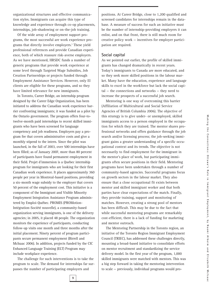organizational structures and effective communication styles. Immigrants can acquire this type of knowledge and experience through co-op placements, internships, job-shadowing or on-the-job training.

Of the wide array of employment support programs, the most successful are work experience programs that directly involve employers.5 These yield professional references and provide Canadian experience, both of which reassure risk-averse employers. As we have mentioned, HRSDC funds a number of generic programs that provide work experience at some level through Targeted Wage Subsidies, Job Creation Partnerships or projects funded through Employment Assistance Services. However, only EI clients are eligible for these programs, and so they have limited relevance for new immigrants.

In Toronto, Career Bridge, an internship program designed by the Career Edge Organization, has been initiated to address the Canadian work experience barrier confronting immigrants; it was funded as a pilot by the Ontario government. The program offers four-totwelve-month paid internships to recent skilled immigrants who have been screened for language competency and job readiness. Employers pay a program fee that covers administrative costs and give a monthly stipend to the intern. Since the pilot was launched, in the fall of 2003, over 500 internships have been filled; as of January 2007, more than 80 percent of participants have found permanent employment in their field. Projet d'immersion is a Quebec internship program for immigrants who are looking for their first Canadian work experience. It places approximately 360 people per year in Montreal-based positions, providing a six-month wage subsidy to the employer that covers 50 percent of the employment cost. This initiative is a component of the Immigrant and Visible Minority Employment Integration Assistance Program administered by Emploi-Québec. PROMIS (PROMotion-Intégration-Société nouvelle), a community-based organization serving immigrants, is one of the delivery agencies; in 2005, it placed 48 people. The organization monitors the experience of participants, conducting follow-up visits one month and three months after the initial placement. Ninety percent of program participants secure permanent employment (Birrell and McIsaac 2006). In addition, projects funded by the CIC Enhanced Language Training (ELT) Program may include workplace experience.

The challenge for such interventions is to take the program to scale. The demand for internships far surpasses the number of participating employers and

positions. At Career Bridge, close to 1,200 qualified and screened candidates for internships remain in the database. A measure of success for such an initiative must be the number of internship-providing employers it can enlist, and on that front, there is still much room for creative policy work — incentives for employer participation are required.

#### **Social capital**

As we pointed out earlier, the profile of skilled immigrants has changed dramatically in recent years. Today's immigrants to Canada are more educated, and so they seek more skilled positions in the labour market. Many have the education, experience and language skills to excel in the workforce but lack the social capital — the connections and networks — they need to increase the prospects of a successful job search.

Mentoring is one way of overcoming this barrier (Affiliation of Multicultural and Social Service Agencies of British Columbia 2006). The objective of this strategy is to give under- or unemployed, skilled immigrants access to a person employed in the occupation for which they are trained. The mentor shares professional networks and offers guidance through the job search and/or licensing process; the job-seeking immigrant gains a greater understanding of a specific occupational context and its trends. The objective is not necessarily to find employment for the immigrant in the mentor's place of work, but participating immigrants often secure positions in their field. Mentoring programs have been undertaken through a number of community-based agencies. Successful programs focus on growth sectors in the labour market. They also ensure that a close occupational fit exists between mentor and skilled immigrant worker and that both parties have clear expectations of the match. Finally, they provide training, support and monitoring of matches. However, creating a strong pool of mentors has been difficult. This may be due to the fact that while successful mentoring programs are remarkably cost-efficient, there is a lack of funding for marketing and mentor outreach.

The Mentoring Partnership in the Toronto region, an initiative of the Toronto Region Immigrant Employment Council (TRIEC), has addressed these challenges directly, mounting a broad-based initiative to consolidate efforts on mentor recruitment and standardizing the service delivery model. In the first year of the program, 1,000 skilled immigrants were matched with mentors. This was a big step forward in taking the mentoring intervention to scale — previously, individual programs would pro-

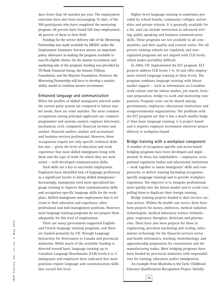duce fewer than 50 matches per year. The employment outcomes have also been encouraging. To date, of the 700 participants who have completed the mentoring program, 68 percent have found full-time employment, 46 percent of them in their field.

Funding for the service delivery side of the Mentoring Partnership was made available by HRSDC under the Employment Assistance Services stream, an important policy allowance in making the program available to non-EI-eligible clients. On the mentor recruitment and marketing side of the program, funding was provided by TD Bank Financial Group, the Ontario Trillium Foundation, and the Maytree Foundation. However, the Mentoring Partnership will have to develop a sustainability model to continue mentor recruitment.

#### **Enhanced language and communication**

When the profiles of skilled immigrants selected under the current point system are compared to labour market needs, there are some matches. The most common occupations among principal applicants are computer programmer and systems analyst; engineer (electronic, mechanical, civil, computer); financial investor and analyst; financial auditor, analyst and accountant; and business services professional. However, these occupations require not only specific technical skills but also — given the level of education and work experience that most skilled immigrants bring with them and the type of work for which they are most suited — well-developed communication skills.

Such skills are a key to successful employment. Employers have identified lack of language proficiency as a significant barrier to hiring skilled immigrants.<sup>6</sup> Increasingly, immigrants need more specialized language training to improve their communication skills and occupation-specific language skills for the workplace. Skilled immigrants seek employment that is relevant to their education and experience, often professional and mid-management positions. However, most language training programs do not prepare them adequately for this level of employment.

There are many government-supported Englishand French-language training programs, and these are funded primarily by CIC through Language Instruction for Newcomers to Canada and provincial ministries. While much of the available funding is directed toward basic language training up to Canadian Language Benchmarks (CLB) levels 6 to 7, immigrants and employers have indicated that most positions require language and communication skills that exceed this level.

Higher-level language training is sometimes provided by school boards, community colleges, universities and private schools. It is generally available for a fee, and can include instruction in advanced writing, public speaking and business communication skills. These programs are not available in all communities, and their quality and content varies. Not all private training schools are regulated, and nonregulated programs are not aligned with CLB levels, which makes portablity difficult.

In 2004, CIC implemented the ELT program. ELT projects address CLB levels 7 to 10 and offer employment-related language training at these levels. The program combines language training with labour market support — such as information on Canadian work culture and the labour market, job search, licensure preparation, bridge-to-work and mentoring components. Program costs can be shared among governments, employers, educational institutions and nongovernmental organizations. The problems with the ELT program are that it has a much smaller budget than basic language training, it is project-based and it requires employer investment wherever project delivery is workplace-based.

#### **Bridge training with a workplace component**

A number of occupation-specific and sector-based bridging programs have been developed and implemented. In them, key stakeholders — employers, occupational regulatory bodies and educational institutions — work together to assess immigrants' skills and competencies, to deliver training (including occupationspecific language training) and to provide workplace experience. The objective is to integrate professionals more quickly into the labour market and to avoid compelling them to duplicate their foreign training.

Bridge training projects funded to date involve various sectors. Within the health care sector, there have been projects for nurses, midwives, medical radiation technologists, medical laboratory science technologists, respiratory therapists, dieticians and pharmacists. There have also been projects for those in engineering, precision machining and tooling, information technology for the financial services sector and health informatics, teaching, biotechnology, and apprenticeship preparation for construction and the manufacturing trades. Most bridging programs have been funded by provincial ministries with responsibilities for training, education and/or immigration.

An example from Manitoba is the Early Childhood Educator Qualifications Recognition Project. Initially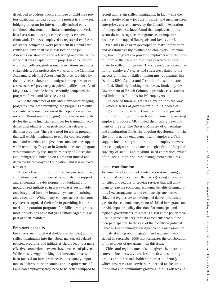developed to address a local shortage of child care professionals, and funded by ELT, the project is a 14-week bridging program for internationally trained early childhood educators. It includes mentoring and workbased assessment using a competency assessment framework. Trainees, employed as registered child care assistants, complete a work placement in a child care centre and have their skills assessed on the job. Assessors use standards and a learning outcome framework that was adapted for the project in consultation with local colleges, professional associations and other stakeholders. The project also works with the Manitoba Academic Credential Assessment Service, provided by the province's labour and immigration department to assess trainees' previously acquired qualifications. As of May 2006, 22 people had successfully completed the program (Birrell and McIsaac 2006).

While the outcomes of this and many other bridging programs have been promising, the programs are only accessible to a small portion of the population and are not yet self-sustaining. Bridging programs do not qualify for the same financial resources for training or academic upgrading as other post-secondary degree or diploma programs. There is a need for a loan program that will enable immigrants to pay for courses, equipment and materials and give them some income support while retraining. This year in Ontario, one such program was announced by the Ontario Ministry of Citizenship and Immigration, building on a program funded and delivered by the Maytree Foundation, and it is an excellent start.

Nevertheless, funding formulas for post-secondary educational institutions must be adjusted to support and encourage the development of bridging and modularized initiatives in a way that is sustainable and integrated into the broader systems of training and education. While many colleges across the country have recognized their role in providing labour market preparation programs for skilled immigrants, most universities have not yet acknowledged this as part of their mandate.

#### **Employer capacity**

Employers are critical stakeholders in the integration of skilled immigrants into the labour market. All related policies, programs and initiatives should lead to a more effective connection between these two sets of players. While most energy, thinking and investment has so far been focused on immigrant needs, it is equally important to address the shortcomings and requirements of Canadian employers; they need to be better equipped to

**11**

recruit and retain skilled immigrants. In fact, while the vast majority of new jobs are in small- and medium-sized enterprises, a recent survey by the Canadian Federation of Independent Business found that employers in this sector do not recognize immigrants as an important resource to be tapped (Bourgeois and Debus 2006).

Web sites have been developed to make information and assistance easily available to employers. For example, hireimmigrants.ca provides employers with the tools to improve their human resources practices as they relate to skilled immigrants. The site includes a compilation of employers' stories and strategies related to the successful hiring of skilled immigrants. Companies like Deloitte, RBC, Apotex and Teshmont Consultants are profiled. Similarly, lookingahead.bc.ca, funded by the Government of British Columbia, provides case studies and links to useful tools for BC employers.

The case of hireimmigrants.ca exemplifies the way in which a series of government funding bodies can bring an initiative to life. Canadian Heritage provided the initial funding to research and document promising employer practices. CIC funded the primary development of the site. The Ontario Ministry of Citizenship and Immigration funds the ongoing development of the site and its active engagement with employers. This support includes a grant to mount an employer awareness campaign and to create strategies for building the capacity of small- and medium-sized enterprises, which often lack human resources management structures.

#### **Local coordination**

As immigrant labour market integration is increasingly recognized as a local issue, there is a growing imperative for cities and regions to provide services that will allow them to reap the social and economic benefits of immigration. New arrangements and relationships are needed if cities and regions are to develop and deliver local strategies for the economic integration of skilled immigrants and provide input on policy direction. For municipal and regional governments, this means a seat at the policy table — or, in some instances, formal agreements that outline their participation. In the case of the recently negotiated Canada-Ontario Immigration Agreement, a memorandum of understanding on immigration and settlement was signed in September 2006 that formalizes the collaboration of three orders of government on this issue.

Cities and regions must also be given the means to convene businesses, educational institutions, immigrant groups and other stakeholders in order to identify which programs and services are needed to facilitate individual and community growth and thus attract and

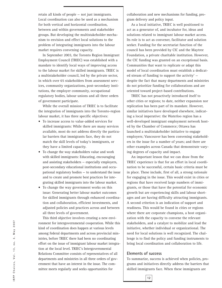retain all kinds of people — not just immigrants. Local coordination can also be used as a mechanism for both vertical and horizontal coordination, between and within governments and stakeholder groups. But developing the multistakeholder mechanism to envision and effect local solutions to the problem of integrating immigrants into the labour market requires convening capacity.

In September 2003, the Toronto Region Immigrant Employment Council (TRIEC) was established with a mandate to identify local ways of improving access to the labour market for skilled immigrants. TRIEC is a multistakeholder council, led by the private sector, in which over 65 stakeholders from assessment services, community organizations, post-secondary institutions, the employer community, occupational regulatory bodies, labour unions and all three orders of government participate.

While the overall mission of TRIEC is to facilitate the integration of immigrants into the Toronto-region labour market, it has three specific objectives:

- To increase access to value-added services for skilled immigrants: While there are many services available, most do not address directly the particular barriers that immigrants face, they do not match the skill levels of today's immigrants, or they have a limited capacity.
- To change the way stakeholders value and work with skilled immigrants: Educating, encouraging and assisting stakeholders — especially employers, post-secondary educational institutions and occupational regulatory bodies — to understand the issue and to create and promote best practices for integrating skilled immigrants into the labour market.
- To change the way government works on this issue: Generating better labour market outcomes for skilled immigrants through enhanced coordination and collaboration, efficient investments, and adjusted policies and practices across and between all three levels of government.

This third objective involves creating a new environment for intergovernmental cooperation. While this kind of coordination does happen at various levels among federal departments and across provincial ministries, before TRIEC there had been no coordinating effort on the issue of immigrant labour market integration at the local level. TRIEC's Intergovernmental Relations Committee consists of representatives of all departments and ministries in all three orders of government that have an interest in the issue. The committee meets regularly and seeks opportunities for

collaboration and new mechanisms for funding, program delivery and policy input.

As a local initiative, TRIEC is well positioned to act as a generator of, and incubator for, ideas and solutions related to immigrant labour market access. Its role is to act as convener, facilitator and solution seeker. Funding for the secretariat function of the council has been provided by CIC and the Maytree Foundation, a private charitable institution. However, the CIC funding was granted on an exceptional basis. Communities that want to replicate or adapt this model of local coordination must establish a dedicated stream of funding to support the activity<sup>7</sup>  $$ despite the fact that many departments and ministries do not prioritize funding for collaborations and are oriented toward project-based contributions.

TRIEC has not proactively introduced itself to other cities or regions; to date, neither expansion nor replication has been part of its mandate. However, similar initiatives have developed elsewhere, indicating a local imperative: the Waterloo region has a well-developed immigrant employment network hosted by the Chamber of Commerce; Ottawa has launched a multistakeholder initiative to engage employers; Vancouver has been convening stakeholders in the issue for a number of years; and there are other examples across Canada that demonstrate varying degrees of capacity and impact.

An important lesson that we can draw from the TRIEC experience is that for an effort in local coordination to be successful, certain basic criteria must be in place. These include, first of all, a strong rationale for engaging in the issue. This would exist in cities or regions that have received large numbers of immigrants, or those that have the potential for economic growth but are experiencing skills and labour shortages and are having difficulty attracting immigrants. A second criterion is an indication of support and readiness. This would be found in cities or regions where there are corporate champions, a host organization with the capacity to convene the relevant stakeholders, and a catalyst to mobilize and lead the initiative, whether individual or organizational. The need for local solutions is well recognized. The challenge is to find the policy and funding instruments to bring local coordination and collaboration to life.

#### **Elements of success**

**12**

To summarize, success is achieved when policies, programs and initiatives directly address the barriers that skilled immigrants face. When these immigrants are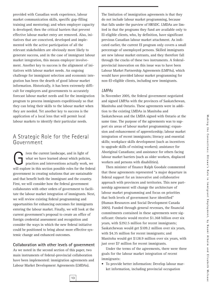provided with Canadian work experience, labour market communication skills, specific gap-filling training and mentoring; and when employer capacity is developed; then the critical barriers that prevent effective labour market entry are removed. Also, initiatives that are conceived, developed and implemented with the active participation of all the relevant stakeholders are obviously more likely to generate success, and in the case of immigrant labour market integration, this means employer involvement. Another key to success is the alignment of initiatives with labour market needs. An ongoing challenge for immigrant selection and economic integration has been the dearth of good labour market information. Historically, it has been extremely difficult for employers and governments to accurately forecast labour market needs and for the immigration program to process immigrants expeditiously so that they can bring their skills to the labour market when they are needed. Yet another key to success is the application of a local lens that will permit local labour markets to identify their particular needs.

### A Strategic Role for the Federal Government

**Given the current landscape, and in light of**<br>what we have learned about which policie<br>practices and interventions actually work,<br>will explore in this section possible roles for the fe what we have learned about which policies, practices and interventions actually work, we will explore in this section possible roles for the federal government in creating solutions that are sustainable and that benefit both the immigrant and the country. First, we will consider how the federal government collaborates with other orders of government to facilitate the labour market integration of immigrants. Next, we will review existing federal programming and opportunities for enhancing outcomes for immigrants entering the labour market. Finally, we will look at the current government's proposal to create an office of foreign credential assessment and recognition and consider the ways in which the new federal initiative could be positioned to bring about more effective systemic change and enhanced outcomes.

#### **Collaboration with other levels of government**

As we noted in the second section of this paper, two main instruments of federal-provincial collaboration have been implemented: immigration agreements and Labour Market Development Agreements (LMDAs).

**13**

The limitation of immigration agreements is that they do not include labour market programming, because that falls under the purview of HRSDC. LMDAs are limited in that the programs they fund are available only to EI-eligible clients, who, by definition, have significant previous Canadian labour market attachment. As indicated earlier, the current EI program only covers a small percentage of unemployed persons. Skilled immigrants are new labour market entrants, and they therefore fall through the cracks of these two instruments. A federalprovincial innovation on this issue was to have been Labour Market Partnership Agreements (LMPAs), which would have provided labour market programming for non-EI-eligible clients, including new immigrants.

#### *LMPAs*

In November 2005, the federal government negotiated and signed LMPAs with the provinces of Saskatchewan, Manitoba and Ontario. These agreements were in addition to the existing LMDAs in Manitoba and Saskatchewan and the LMDA signed with Ontario at the same time. The purpose of the agreements was to support six areas of labour market programming: expansion and enhancement of apprenticeship; labour market integration of recent immigrants; literacy and essential skills; workplace skills development (such as incentives to upgrade skills of existing workers); assistance for Aboriginal Canadians; and assistance for others facing labour market barriers (such as older workers, displaced workers and persons with disabilities).

Then minister of finance Ralph Goodale commented that these agreements represented "a major departure in federal support for an innovative and collaborative approach with provinces and territories. This new partnership agreement will change the architecture of labour market programming and focus on priorities that both levels of government have identified" (Human Resources and Social Development Canada 2005). Funded through general revenues, the financial commitments contained in these agreements were significant: Ontario would receive \$1.368 billion over six years, with \$292.5 million for recent immigrants; Saskatchewan would get \$109.2 million over six years, with \$4.35 million for recent immigrants; and Manitoba would get \$128.9 million over six years, with just over \$7 million for recent immigrants.

Under the terms of the agreements, there were three goals for the labour market integration of recent immigrants:

• To provide better information: Develop labour market information, including provincial occupation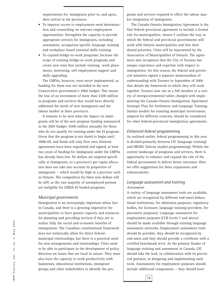requirements for immigrants prior to, and upon, their arrival in the provinces.

- To improve access to employment-need determination and counselling on relevant employment opportunities: Strengthen the capacity to provide appropriate services for immigrants, including assessment, occupation-specific language training and workplace-based essential skills training.
- To expand bridge-to-work programs: Increase the scope of existing bridge-to-work programs and create new ones that include training, work placements, mentoring, self-employment support and skills upgrading.

The LMPAs, however, were never implemented, as funding for them was not included in the new Conservative government's 2006 budget. This meant the loss of an investment of more than \$300 million in programs and services that would have directly addressed the needs of new immigrants and the labour market in three provinces.

It remains to be seen what the impact on immigrants will be of the new program funding announced in the 2007 budget: \$500 million annually for those who do not qualify for training under the EI program. Given that the program is not slated to begin until 2008-09, and funds will only flow once bilateral agreements have been negotiated and signed, at least two years of funding for immigrants under the LMPAs has already been lost. No dollars are targeted specifically at immigrants, so a province's per capita allocation does not take into account its proportion of immigrants — which would be high in a province such as Ontario. The competition for these new dollars will be stiff, as the vast majority of unemployed persons are ineligible for LMDA-EI funded programs.

#### *Municipal governments*

Immigration is an increasingly important urban fact in Canada, and there is a growing imperative for municipalities to have greater capacity and resources for planning and providing services if they are to realize fully the social and economic benefits of immigration. The Canadian constitutional framework does not technically allow for direct federalmunicipal relationships, but there is a practical need for new arrangements and relationships. Cities need to be able to participate in the development of policy direction on issues that are local in nature. They must also have the capacity to work productively with businesses, educational institutions, immigrant groups and other stakeholders to identify the pro-

grams and services required to effect the labour market integration of immigrants.

The Canada-Ontario Immigration Agreement is the first federal-provincial agreement to include a formal role for municipalities. Annex F outlines the way in which the federal and provincial governments will work with Ontario municipalities and lists their shared priorities. Cities will be represented by the Association of Municipalities of Ontario. The agreement also recognizes that the City of Toronto has unique experience and expertise with respect to immigration; for this reason, the federal and provincial ministers signed a separate memorandum of understanding with Toronto in September of 2006 that details the framework in which they will work together. Toronto now sits as a full member at a variety of intergovernmental tables charged with implementing the Canada-Ontario Immigration Agreement Strategic Plan for Settlement and Language Training. Similar models for ensuring municipal involvement, adapted for different contexts, should be considered for other federal-provincial immigration agreements.

#### *Enhanced federal programming*

As outlined earlier, federal programming in this area is divided primarily between CIC (language training) and HRSDC (labour market programming). Within the current landscape of programs and services, there is opportunity to enhance and expand the role of the federal government to deliver better outcomes. Here we offer suggestions for these expansions and enhancements.

#### *Language assessment and training Assessment*

**14**

A variety of language assessment tools are available, which are recognized by different end-users (educational institutions, for admission purposes; regulatory bodies, for licensure; language training providers, for placement purposes). Language assessment for employment purposes (CLB levels 7 and above) should be made available through existing language assessment networks. Employment assessment tools should be portable, they should be recognized by end-users and they should provide a certificate with a certified benchmark level. As the primary funder of language training and assessment in Canada, CIC should take the lead, in collaboration with its provincial partners, in designing and implementing such tools. Assessments for employment purposes should include additional components — they should have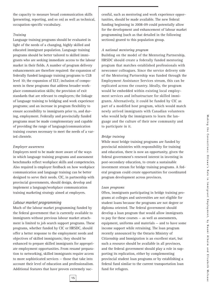the capacity to measure broad communication skills (presenting, reporting, and so on) as well as technical, occupation-specific vocabulary.

#### *Training*

Language training programs should be evaluated in light of the needs of a changing, highly skilled and educated immigrant population. Language training programs should be better tailored to skilled immigrants who are seeking immediate access to the labour market in their fields. A number of program delivery enhancements are therefore required: the expansion of federally funded language training programs to CLB level 10; the expansion of ELT; inclusion of components in these programs that address broader workplace communication skills; the provision of exit standards that are relevant to employers; the linkage of language training to bridging and work experience programs; and an increase in program flexibility to ensure accessibility to immigrants prior to, and during, employment. Federally and provincially funded programs must be made complementary and capable of providing the range of language/communication training courses necessary to meet the needs of a varied clientele.

#### *Employer awareness*

Employers need to be made more aware of the ways in which language training programs and assessment benchmarks reflect workplace skills and competencies. Also required is employer feedback on how workplace communication and language training can be better designed to serve their needs. CIC, in partnership with provincial governments, should design, develop and implement a language/workplace communication training marketing strategy aimed at employers.

#### *Labour market programming*

Much of the labour market programming funded by the federal government that is currently available to immigrants without previous labour market attachment is limited to job search support programs. These programs, whether funded by CIC or HRSDC, should offer a better response to the employment needs and objectives of skilled immigrants; they should be enhanced to prepare skilled immigrants for appropriate employment opportunities. From resumé preparation to networking, skilled immigrants require access to more sophisticated services — those that take into account their level of education and professionalism. Additional features that have proven extremely successful, such as mentoring and work experience opportunities, should be made available. The new federal funding beginning in 2008-09 could potentially allow for the development and enhancement of labour market programming (such as that detailed in the following sections) geared to this population group.

#### *A national mentoring program*

Building on the model of the Mentoring Partnership, HRSDC should create a federally funded mentoring program that matches established professionals with newcomer colleagues. Since the service delivery side of the Mentoring Partnership was funded through the Employment Assistance Services stream, this can be replicated across the country. Ideally, the program would be embedded within existing local employment services and infrastructure for skilled immigrants. Alternatively, it could be funded by CIC as part of a modified host program, which would match newly arrived immigrants with Canadian volunteers who would help the immigrants to learn the language and the culture of their new community and to participate in it.

#### *Bridge training*

While most bridge training programs are funded by provincial ministries with responsibility for training and education, there is now an opportunity, given the federal government's renewed interest in investing in post-secondary education, to create a sustainable investment stream for bridge training programs. A federal program could create opportunities for coordinated program development across provinces.

#### *Loan programs*

Often, immigrants participating in bridge training programs at colleges and universities are not eligible for student loans because the programs are not degree or diploma oriented. The federal government should develop a loan program that would allow immigrants to pay for these courses — as well as assessments, equipment, uniforms and materials — and to have some income support while retraining. The loan program recently announced by the Ontario Ministry of Citizenship and Immigration is an excellent start, but such a resource should be available in all provinces, and the federal government should play a role in supporting its replication, either by complementing provincial student loan programs or by establishing a federal fund similar to the current transportation loan fund for refugees.

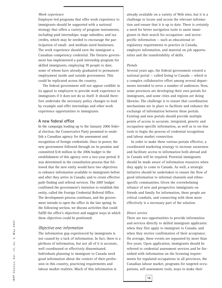#### *Work experience*

Employer-led programs that offer work experience to immigrants should be supported with a national strategy that offers a variety of program instruments, including paid internships; wage subsidies; and tax credits, which may be needed to encourage the participation of small- and medium-sized businesses. The work experience should earn the immigrant a Canadian competency credential. The Ontario government has implemented a paid internship program for skilled immigrants, employing 70 people to date, some of whom have already graduated to permanent employment inside and outside government. This could be replicated across the country.

The federal government will not appear credible in its appeal to employers to provide work experience to immigrants if it does not do so itself. It should therefore undertake the necessary policy changes to lead by example and offer internships and other work experience opportunities to immigrants.

#### **A new federal office**

In the campaign leading up to the January 2006 federal election, the Conservative Party promised to establish a Canadian agency for the assessment and recognition of foreign credentials. Once in power, the new government followed through on its promise and committed \$18 million in the 2006 budget to the establishment of this agency over a two-year period. It was determined in the consultation process that followed that the new entity would have two objectives: to enhance information available to immigrants before and after they arrive in Canada; and to create effective path-finding and referral services. The 2007 budget confirmed the government's intention to establish this entity, called the Foreign Credential Referral Office. The development process continues, and the government intends to open the office in the late spring. In the following section, we discuss activities that could fulfill the office's objectives and suggest ways in which these objectives could be positioned.

#### *Objective one: information*

The information gap experienced by immigrants is not caused by a lack of information. In fact, there is a plethora of information, but not all of it is accurate, well coordinated or effectively disseminated. Individuals planning to immigrate to Canada need good information about the context of their profession in this country, practicing requirements and labour market realities. Much of this information is

already available on a variety of Web sites, but it is a challenge to locate and access the relevant information and ensure that it is up to date. There is certainly a need for better navigation tools to assist immigrants in their search for occupation- and sectorpecific information — such as educational or regulatory requirements to practice in Canada, employer information, and material on job opportunities and the transferability of skills.

#### *Portals*

Several years ago, the federal government created a national portal — called Going to Canada — which is a complex collaborative effort among several departments intended to serve a number of audiences. Now, some provinces are developing their own portals for immigrants, and some cities and regions are doing likewise. The challenge is to ensure that coordination mechanisms are in place to facilitate and enhance the exchange of information between these portals. Existing and new portals should provide multiple points of access to accurate, integrated, generic and occupation-specific information, as well as to on-line tools to begin the process of credential recognition and labour market connection.

In order to make these various portals effective, a coordinated marketing strategy to increase awareness and facilitate access to information both abroad and in Canada will be required. Potential immigrants should be made aware of information resources when they apply to come to Canada. As well, a strategic initiative should be undertaken to ensure the flow of good information to informal channels and ethnospecific communities. Given the overwhelming reliance of new and prospective immigrants on friends and family for information, these people are critical conduits, and connecting with them more effectively is a necessary part of the solution.

#### *Direct service*

There are two opportunities to provide information and services directly to skilled immigrant applicants: when they first apply to immigrate to Canada, and when they receive confirmation of their acceptance. On average, these events are separated by more than five years. Upon application, immigrants should be referred to credential assessment services and be furnished with information on the licensing requirements for regulated occupations in all provinces, the Canadian labour market, programs for targeted occupations, self-assessment tools, ways to make their

 $Max 2007$ **IRPP Choices, Vol. 13, no. 3, May 2007** IRPP Choices, Vol. 13, no. 3,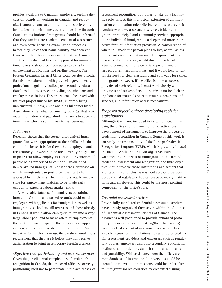profiles available to Canadian employers, on-line discussion boards on working in Canada, and recognized language and upgrading programs offered by institutions in their home country or on-line through Canadian institutions. Immigrants should be informed that they can initiate academic credential assessment and even some licensing examination processes before they leave their home country and then continue with the relevant assessment body in Canada.

Once an individual has been approved for immigration, he or she should be given access to Canadian employment applications and on-line mentors. The Foreign Credential Referral Office could develop a model for this in collaboration with provincial governments, professional regulatory bodies, post-secondary educational institutions, service-providing organizations and employer associations. This project could be linked with the pilot project funded by HRSDC, currently being implemented in India, China and the Philippines by the Association of Canadian Community Colleges, that provides information and path-finding sessions to approved immigrants who are still in their home countries.

#### *A database*

Research shows that the sooner after arrival immigrants find work appropriate to their skills and education, the better it is for them, their employers and the economy. However, there are currently no systems in place that allow employers access to inventories of people being processed to come to Canada or of newly arrived immigrants. Nor is there a database on which immigrants can post their resumés to be accessed by employers. Therefore, it is nearly impossible for employment matches to be made early enough to expedite labour market entry.

A searchable database for employers containing immigrants' voluntarily posted resumés could match employers with applicants for immigration as well as immigrant visa-holders still overseas and those already in Canada. It would allow employers to tap into a very large labour pool and to make offers of employment; this, in turn, would expedite the processing of applicants whose skills are needed in the short term. An incentive for employers to use the database would be a requirement that they use it before they can receive authorization to bring in temporary foreign workers.

*Objective two: path-finding and referral services*  Given the jurisdictional complexities of credentials recognition in Canada, the proposed office is correctly positioning itself not to participate in the actual task of assessment recognition, but rather to take on a facilitative role. In fact, this is a logical extension of an information coordination role. Offering referrals to provincial regulatory bodies, assessment services, bridging programs, or municipal and community services appropriate to the individual immigrant is a deeper and more interactive form of information provision. A consideration of where in Canada the person plans to live, as well as his or her particular occupation and the requirements for assessment and practice, would direct the referral. From a jurisdictional point of view, this approach would respect current responsibilities, and it would help to fulfill the need for clear messaging and pathways for skilled immigrants. However, if the office is to be a successful provider of such referrals, it must work closely with provinces and stakeholders to organize a national clearing house for materials on requirements, programs and services, and information access mechanisms.

#### *Proposed objective three: developing tools for stakeholders*

Although it was not included in its announced mandate, the office should have a third objective: the development of instruments to improve the process of credential recognition in Canada. Some of this work is currently the responsibility of the Foreign Credential Recognition Program (FCRP), which is presently housed in HRSDC. While the first two objectives have to do with meeting the needs of immigrants in the area of credential assessment and recognition, the third objective should involve those institutions and sectors that are responsible for this: assessment service providers, occupational regulatory bodies, post-secondary institutions and employers. This could be the most exciting component of the office's role.

#### *Credential assessment services*

Provincially mandated credential assessment services have already organized themselves within the Alliance of Credential Assessment Services of Canada. The alliance is well positioned to provide enhanced portability of assessments and to strengthen the existing framework of credential assessment services. It has already begun forming relationships with other credential assessment providers and end-users such as regulatory bodies, employers and post-secondary educational institutions, in order to establish common standards and portability. With assistance from the office, a common database of international universities could be created, joint evaluation missions could be undertaken to immigrant source countries by credential issuing

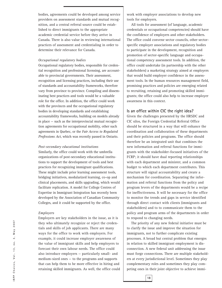bodies, agreements could be developed among service providers on assessment standards and mutual recognition, and a central referral source could be established to direct immigrants to the appropriate academic credential service before they arrive in Canada. There is also value in reviewing international practices of assessment and credentialing in order to determine their relevance for Canada.

#### *Occupational regulatory bodies*

Occupational regulatory bodies, responsible for credential recognition and professional licensing, are accountable to provincial governments. Their assessment, recognition and licensing practices, including their use of standards and accountability frameworks, therefore vary from province to province. Compiling and disseminating best practices and tools would be a valuable role for the office. In addition, the office could work with the provinces and the occupational regulatory bodies in developing standards and establishing accountability frameworks, building on models already in place — such as the interprovincial mutual recognition agreements for occupational mobility, other such agreements in Quebec, or the *Fair Access to Regulated Professions Act*, which was recently passed in Ontario.

#### *Post-secondary educational institutions*

Similarly, the office could work with the umbrella organizations of post-secondary educational institutions to support the development of tools and best practices for recognizing immigrant qualifications. These might include prior learning assessment tools, bridging initiatives, modularized learning, co-op and clinical placements, and skills upgrading, which would facilitate replication. A model for College Centres of Expertise in Immigrant Integration has recently been developed by the Association of Canadian Community Colleges, and it could be supported by the office.

#### *Employers*

Employers are key stakeholders in the issue, as it is they who ultimately recognize or reject the credentials and skills of job applicants. There are many ways for the office to work with employers. For example, it could increase employer awareness of the value of immigrant skills and help employers to forecast their own labour needs. The office could also introduce employers — particularly small- and medium-sized ones — to the programs and supports that can help them to be more effective in hiring and retaining skilled immigrants. As well, the office could work with employer associations to develop new tools for employers.

All tools for assessment (of language, academic credentials or occupational competencies) should have the confidence of employers and other stakeholders. The office could convene sector councils, other sectorspecific employer associations and regulatory bodies to participate in the development, recognition and promotion of sector-specific language and occupational competency assessment tools. In addition, the office could undertake (in partnership with the other stakeholders) a marketing strategy aimed at employers that would build employer confidence in the assessment tools. In the human resources management field, promising practices and policies are emerging related to recruiting, retaining and promoting skilled immigrants; the office could also help to increase employer awareness in this context.

#### **Is an office within CIC the right idea?**

Given the challenges presented by the HRSDC and CIC silos, the Foreign Credential Referral Office should be structured in a way that will enhance the coordination and collaboration of these departments and their policies and programs. The office should therefore be an integrated unit that combines the new information and referral functions for immigrants with the stakeholder-focused initiatives of the FCRP; it should have dual reporting relationships with each department and minister, and a common budget to which each department contributes. This structure will signal accountability and create a mechanism for coordination. Separating the information and referral functions from the policy and program levers of the departments would be a recipe for ineffectiveness. It will be necessary for the office to monitor the trends and gaps in service identified through direct contact with clients (immigrants and stakeholders) and to to communicate them to the policy and program arms of the departments in order to respond to changing needs.

The priority of any new federal initiative must be to clarify the issue and improve the situation for immigrants, not to further complicate existing processes. A broad but central problem that emerges in relation to skilled immigrant employment is disconnection. A new federal unit addressing the issue must forge connections. There are multiple stakeholders at every jurisdictional level. Sometimes they play complementary roles and sometimes they play competing ones in their joint objective to achieve immi-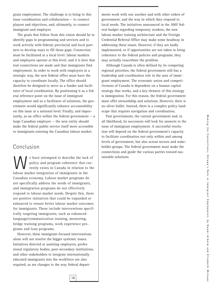grant employment. The challenge is to bring to this issue coordination and collaboration — to connect players and objectives, and, ultimately, to connect immigrant and employer.

The goals that follow from this vision should be to identify gaps in programming and services and to work actively with federal, provincial and local partners to develop ways to fill those gaps. Connection must be facilitated at a local level: labour markets and employers operate at this level, and it is here that real connections are made and that immigrants find employment. In order to work with employers in a strategic way, the new federal office must have the capacity to coordinate locally. The office should therefore be designed to serve as a funder and facilitator of local coordination. By positioning it as a federal reference point on the issue of immigrant employment and as a facilitator of solutions, the government would significantly enhance accountability on this issue at a national level. Finally, and impor $t$  tantly, as an office within the federal government  $-$  a large Canadian employer — the new entity should make the federal public service itself more accessible to immigrants entering the Canadian labour market.

## Conclusion

e have attempted to describe the lack of policy and program coherence that currently exists in Canada in relation to the labour market integration of immigrants in the Canadian economy. Labour market programs do not specifically address the needs of immigrants, and immigration programs do not effectively respond to labour market needs. Despite this, there are positive initiatives that could be expanded or enhanced to ensure better labour market outcomes for immigrants. These include interventions specifically targeting immigrants, such as enhanced language/communication training, mentoring, bridge training programs, work experience programs and loan programs.

However, these immigrant-focused interventions alone will not resolve the bigger systemic issues. Initiatives directed at assisting employers, professional regulatory bodies, post-secondary institutions, and other stakeholders to integrate internationally educated immigrants into the workforce are also required, as are changes to the way federal depart-

**19**

ments work with one another and with other orders of government, and the way in which they respond to local needs. The initiatives announced in the 2007 federal budget regarding temporary workers, the new labour market training architecture and the Foreign Credential Referral Office may make some headway in addressing these issues. However, if they are badly implemented, or if opportunities are not taken to bring coherence to the federal policies and programs, they may actually exacerbate the problem.

Although Canada is often defined by its competing regional priorities, the federal government still has a leadership and coordination role in the area of immigrant employment. The economic union and competitiveness of Canada is dependent on a human capital strategy that works, and a key element of this strategy is immigration. For this reason, the federal government must offer stewardship and solutions. However, there is no silver bullet. Instead, there is a complex policy landscape that requires navigation and coordination.

Past governments, the current government and, in all likelihood, its successors will look for answers to the issue of immigrant employment. A successful resolution will depend on the federal government's capacity to facilitate coordination not only within and among levels of government, but also across sectors and stakeholder groups. The federal government must make the connections and guide the various parties toward sustainable solutions.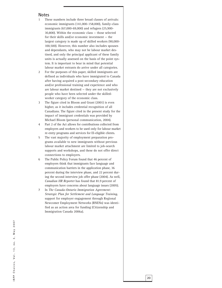#### **Notes**

- 1 These numbers include three broad classes of arrivals: economic immigrants (141,000-158,000), family-class immigrants (67,000-69,000) and refugees (25,900- 30,800). Within the economic class — those selected for their skills and/or economic investment — the largest category is made up of skilled workers (90,000- 100,500). However, this number also includes spouses and dependants, who may not be labour market destined, and only the principal applicant of these family units is actually assessed on the basis of the point system. It is important to bear in mind that potential labour market entrants do arrive under all categories.
- 2 For the purposes of this paper, skilled immigrants are defined as individuals who have immigrated to Canada after having acquired a post-secondary education and/or professional training and experience and who are labour market destined — they are not exclusively people who have been selected under the skilledworker category of the economic class.
- 3 The figure cited in Bloom and Grant (2001) is even higher, as it includes credential recognition of all Canadians. The figure cited in the present study for the impact of immigrant credentials was provided by Michael Bloom (personal communication, 2004).
- 4 Part 2 of the Act allows for contributions collected from employers and workers to be used only for labour market re-entry programs and services for EI-eligible clients.
- 5 The vast majority of employment preparation programs available to new immigrants without previous labour market attachment are limited to job-search supports and workshops, and these do not offer direct connections to employers.
- 6 The Public Policy Forum found that 46 percent of employers think that immigrants face language and communication barriers in the application phase, 36 percent during the interview phase, and 22 percent during the second interview job offer phase (2004). As well, *Canadian HR Reporter* has found that 81.9 percent of employers have concerns about language issues (2005).
- 7 In *The Canada-Ontario Immigration Agreement: Strategic Plan for Settlement and Language Training* , support for employer engagement through Regional Newcomer Employment Networks (RNENs) was identified as an action area for funding (Citizenship and Immigration Canada 2006a).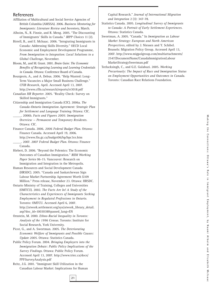#### **References**

- Affiliation of Multicultural and Social Service Agencies of British Columbia (AMSSA). 2006. *Business Mentoring for Immigrants: Literature Review and Inventory*, March.
- Alboim, N., R. Finnie, and R. Meng. 2005. "The Discounting of Immigrants' Skills in Canada." *IRPP Choices* 11 (2).
- Birrell, B., and E. McIsaac. 2006. "Integrating Immigrants in Canada: Addressing Skills Diversity." OECD Local Economic and Employment Development Programme, *From Immigration to Integration: Local Solutions to a Global Challenge*, November.
- Bloom, M., and M. Grant. 2001. *Brain Gain: The Economic Benefits of Recognizing Learning and Learning Credentials in Canada*. Ottawa: Conference Board of Canada.
- Bourgeois, A., and A. Debus. 2006. "Help Wanted: Long-Term Vacancies a Major Small Business Challenge." *CFIB Research*, April. Accessed April 13, 2007. http://www.cfib.ca/research/reports/rr3018.pdf
- *Canadian HR Reporter*. 2005. "Reality Check: Survey on Skilled Immigrants."
- Citizenship and Immigration Canada (CIC). 2006a. *The Canada-Ontario Immigration Agreement: Strategic Plan for Settlement and Language Training*. Ottawa: CIC.
- \_\_\_\_\_. 2006b. *Facts and Figures 2005: Immigration Overview — Permanent and Temporary Residents*. Ottawa: CIC.
- Finance Canada. 2006. *2006 Federal Budget Plan*. Ottawa: Finance Canada. Accessed April 19, 2006. http://www.fin.gc.ca/budget06/bp/bpc3ce.htm \_\_\_\_\_. 2007. *2007 Federal Budget Plan*. Ottawa: Finance Canada.
- Hiebert, D. 2006. "Beyond the Polemics: The Economic Outcomes of Canadian Immigration." *RIIM Working Paper Series* 06-15. Vancouver: Research on Immigration and Integration in the Metropolis.
- Human Resources and Social Development Canada (HRSDC). 2005. "Canada and Saskatchewan Sign Labour Market Partnership Agreement Worth \$109 Million." Press release, November 23. Ottawa: HRSDC.
- Ontario Ministry of Training, Colleges and Universities (OMTCU). 2002. *The Facts Are In! A Study of the Characteristics and Experiences of Immigrants Seeking Employment in Regulated Professions in Ontario*. Toronto: OMTCU. Accessed April 6, 2007. http://atwork.settlement.org/sys/atwork\_library\_detail. asp?doc\_id=1003038&passed\_lang=EN
- Ornstein, M. 2000. *Ethno-Racial Inequality in Toronto: Analysis of the 1996 Census*. Toronto: Institute for Social Research, York University.
- Picot, G., and A. Sweetman. 2005. *The Deteriorating Economic Welfare of Immigrants and Possible Causes: Update 2005*. Ottawa: Statistics Canada.
- Public Policy Forum. 2004. *Bringing Employers into the Immigration Debate: Public Policy Implications of the Survey Findings*. Ottawa: Public Policy Forum. Accessed April 13, 2007. http://www.triec.ca/docs/ PPFSurveyAnalysis.pdf
- Reitz, J.G. 2001. "Immigrant Skill Utilization in the Canadian Labour Market: Implications for Human

**21**

Capital Research." *Journal of International Migration and Integration* 2 (3): 347-78.

- Statistics Canada. 2005. *Longitudinal Survey of Immigrants to Canada: A Portrait of Early Settlement Experiences*. Ottawa: Statistics Canada.
- Sweetman, A. 2005. "Canada." In *Immigration as Labour Market Strategy: European and North American Perspectives*, edited by J. Niessen and Y. Schibel. Brussels: Migration Policy Group. Accessed April 13, 2007. http://www.migpolgroup.com/multiattachments/ 2547/DocumentName/CanadaImmigrationLabour MarketStrategySweetman.pdf
- Teelucksingh, C., and G.E. Galabuzi. 2005. *Working Precariously: The Impact of Race and Immigration Status on Employment Opportunities and Outcomes in Canada*. Toronto: Canadian Race Relations Foundation.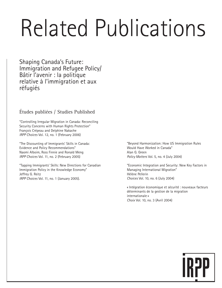# Related Publications

Shaping Canada's Future: Immigration and Refugee Policy/ Bâtir l'avenir : la politique relative à l'immigration et aux réfugiés

## Études publiées / Studies Published

"Controlling Irregular Migration in Canada: Reconciling Security Concerns with Human Rights Protection" François Crépeau and Delphine Nakache *IRPP Choices* Vol. 12, no. 1 (February 2006)

"The Discounting of Immigrants' Skills in Canada: Evidence and Policy Recommendations" Naomi Alboim, Ross Finnie and Ronald Meng *IRPP Choices* Vol. 11, no. 2 (February 2005)

"Tapping Immigrants' Skills: New Directions for Canadian Immigration Policy in the Knowledge Economy" Jeffrey G. Reitz *IRPP Choices* Vol. 11, no. 1 (January 2005).

"Beyond Harmonization: How US Immigration Rules Would Have Worked in Canada" Alan G. Green *Policy Matters* Vol. 5, no. 4 (July 2004)

"Economic Integration and Security: New Key Factors in Managing International Migration" Hélène Pellerin *Choices* Vol. 10, no. 6 (July 2004)

« Intégration économique et sécurité : nouveaux facteurs déterminants de la gestion de la migration internationale » *Choix* Vol. 10, no. 3 (Avril 2004)

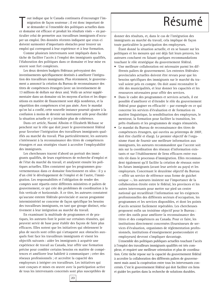out indique que le Canada continuera d'encourager l'immigration de façon soutenue ; il est donc important de se demander si l'ensemble des politiques actuelles dans ce domaine est efficace et produit les résultats visés out indique que le Canada continuera d'encourager l'immigration de façon soutenue ; il est donc important de se demander si l'ensemble des politiques actuelles dans ticulier celui de permettre aux travailleurs immigrants d'occuper un emploi. Des données récentes indiquent que ceux-ci doivent surmonter d'importants obstacles pour trouver un emploi qui correspond à leur expérience et à leur formation.

Comme plusieurs intervenants sont impliqués dans la tâche de faciliter l'accès à l'emploi des immigrants qualifiés, l'élaboration des politiques dans ce domaine et leur mise en œuvre sont fort complexes.

Les deux derniers budgets fédéraux prévoyaient des investissements spécifiquement destinés à améliorer l'intégration des travailleurs immigrants. Plus récemment, le gouvernement a annoncé la création du Bureau de reconnaissance des titres de compétences étrangers (avec un investissement de 13 millions de dollars sur deux ans). Voilà un acteur supplémentaire dans un domaine où les moyens d'action et les dispositions en matière de financement sont déjà nombreux, et la répartition des compétences n'est pas aisée. Avec le mandat qu'on lui a confié, cette nouvelle instance pourrait ajouter à la confusion à moins de devenir un instrument utile pour élucider la situation actuelle et y introduire plus de cohérence.

Dans cet article, Naomi Alboim et Elizabeth McIsaac se penchent sur le rôle que doit jouer le gouvernement fédéral pour favoriser l'intégration des travailleurs immigrants qualifiés au marché du travail. Plus particulièrement, les auteures s'intéressent à la reconnaissance des titres de compétences étrangers et aux stratégies visant à accroître l'employabilité des immigrants.

Les chercheuses tracent d'abord un portrait des immigrants qualifiés, de leurs expériences de recherche d'emploi et de l'état du marché du travail, et analysent ensuite les politiques actuelles. Elles constatent que les programmes gouvernementaux dans ce domaine fonctionnent en silos : il y a d'un côté le développement de l'emploi et de l'autre, l'immigration. Les responsabilités et l'obligation de rendre des comptes sont répartis entre différents ministères et paliers de gouvernement, ce qui crée des problèmes de coordination à la fois verticale et horizontale. À ce titre, les auteures constatent qu'aucune entente fédérale-provinciale et aucun progamme interministériel ne concerne de façon spécifique les besoins des travailleurs immigrants, en tant que groupe distinct, relativement à leur intégration au marché du travail.

En examinant la multitude de programmes et de pratiques, les auteures font le point sur certaines réussites, qui peuvent servir de base pour établir des façons de faire plus efficaces. Elles notent que les initiatives qui obtiennent le plus de succès sont celles qui s'attaquent aux obstacles auxquels font face les travailleurs immigrants et visent les objectifs suivants : aider les immigrants à acquérir une expérience de travail au Canada, leur offrir une formation précise pour combler certains besoins en matière de compétences et améliorer leur habileté à communiquer ; créer des réseaux professionnels ; et accroître la capacité des employeurs à intégrer ces travailleurs. Les initiatives qui sont conçues et mises en œuvre avec la participation active de tous les intervenants concernés sont plus susceptibles de

# Résumé

donner des résultats, et, dans le cas de l'intégration des immigrants au marché du travail, cela implique de façon toute particulière la participation des employeurs.

Étant donné la situation actuelle, et en se basant sur les politiques et les mesures qui ont déjà fait leurs preuves, les auteures concluent en faisant quelques recommandations touchant le rôle stratégique du gouvernement fédéral.

- Une meilleure collaboration est nécessaire parmi les différents paliers de gouvernement. Les ententes fédéralesprovinciales actuelles doivent être revues pour que les besoins spécifiques des immigrants sur le marché du travail soient pris en compte. On doit aussi reconnaître le rôle des municipalités, et leur donner les capacités et les ressources nécessaires pour offrir des services.
- Dans le cadre des programmes et services actuels, il est possible d'améliorer et d'étendre le rôle du gouvernement fédéral pour gagner en efficacité — par exemple en ce qui concerne les services d'évaluation et de formation en matière linguistique, la sensibilisation des employeurs, le mentorat, la formation pour faciliter la transition, les prêts étudiants et les programmes de stages rémunérés.
- Le mandat du Bureau de reconnaissance des titres de compétences étrangers, qui ouvrira au printemps de 2007, doit être clarifié et élargi. Le premier objectif de l'organisme étant de fournir une meilleure information aux immigrants, les auteures recommandent que l'accent soit mis sur la coordination des réseaux d'information existants et sur l'établissement de liens efficaces entre eux très tôt dans le processus d'immigration. Elles recommandent également qu'il facilite la création de réseaux entre les futurs immigrants (avant leur arrivée au pays) et les employeurs. Concernant le deuxième objectif du Bureau — offrir un service de référence sous forme de guichet unique —, les auteures insistent sur l'importance de la collaboration étroite entre le fédéral, les provinces et les autres intervenants pour mettre sur pied un centre national qui recueillirait l'information sur les exigences professionnelles des différents secteurs d'occupation, les programmes et les services disponibles, et dont les points d'accès seraient facilement repérables. Les chercheuses proposent enfin un troisième objectif pour le Bureau : créer des outils pour améliorer la reconnaissance des titres et des compétences au Canada. Pour ce faire, les institutions directement concernées (fournisseurs de services d'évaluation, organismes de réglementation professionnels, institutions d'enseignement postsecondaire et employeurs) devront s'impliquer davantage.

L'ensemble des politiques publiques actuelles touchant l'accès à l'emploi des travailleurs immigrants qualifiés est très complexe, et requiert une meilleure orientation et plus de coordination. Cette tâche repose sur la capacité du gouvernement fédéral à accroître la collaboration des différents paliers de gouvernement mais aussi la coopération entre tous les intervenants concernés. C'est le gouvernement fédéral qui doit faciliter ces liens et guider les parties dans la recherche de solutions durables.